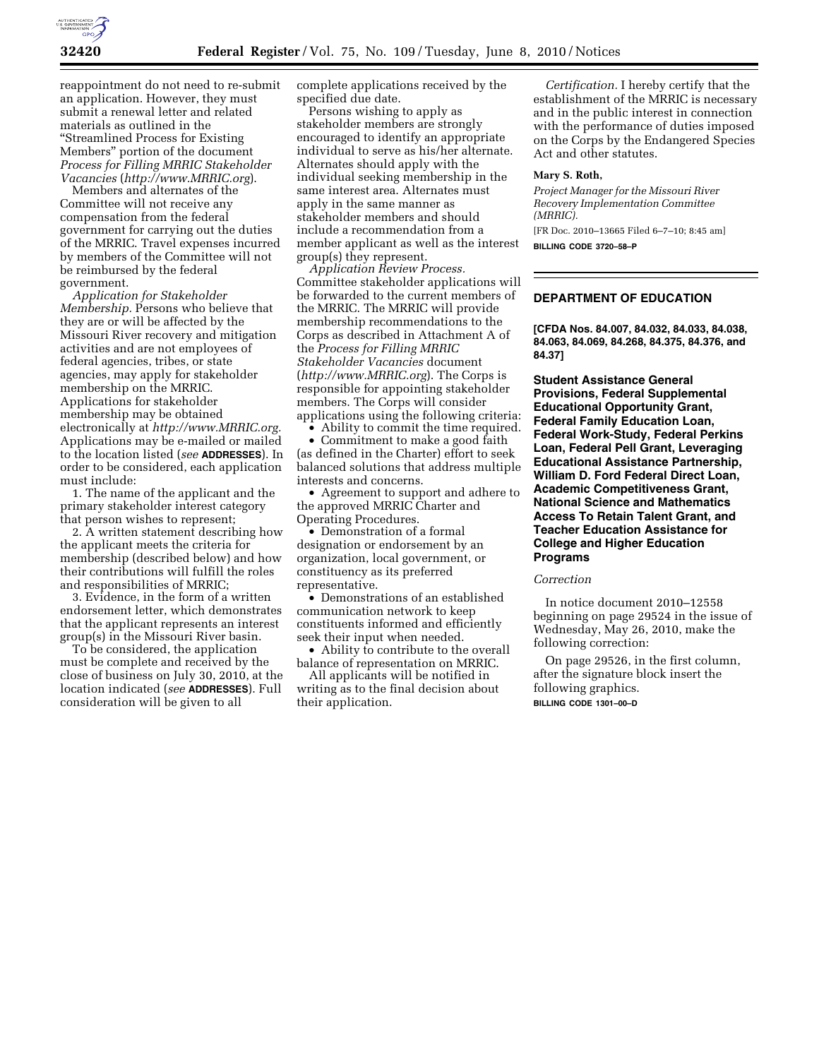

reappointment do not need to re-submit an application. However, they must submit a renewal letter and related materials as outlined in the ''Streamlined Process for Existing Members'' portion of the document *Process for Filling MRRIC Stakeholder Vacancies* (*http://www.MRRIC.org*).

Members and alternates of the Committee will not receive any compensation from the federal government for carrying out the duties of the MRRIC. Travel expenses incurred by members of the Committee will not be reimbursed by the federal government.

*Application for Stakeholder Membership.* Persons who believe that they are or will be affected by the Missouri River recovery and mitigation activities and are not employees of federal agencies, tribes, or state agencies, may apply for stakeholder membership on the MRRIC. Applications for stakeholder membership may be obtained electronically at *http://www.MRRIC.org.*  Applications may be e-mailed or mailed to the location listed (*see* **ADDRESSES**). In order to be considered, each application must include:

1. The name of the applicant and the primary stakeholder interest category that person wishes to represent;

2. A written statement describing how the applicant meets the criteria for membership (described below) and how their contributions will fulfill the roles and responsibilities of MRRIC;

3. Evidence, in the form of a written endorsement letter, which demonstrates that the applicant represents an interest group(s) in the Missouri River basin.

To be considered, the application must be complete and received by the close of business on July 30, 2010, at the location indicated (*see* **ADDRESSES**). Full consideration will be given to all

complete applications received by the specified due date.

Persons wishing to apply as stakeholder members are strongly encouraged to identify an appropriate individual to serve as his/her alternate. Alternates should apply with the individual seeking membership in the same interest area. Alternates must apply in the same manner as stakeholder members and should include a recommendation from a member applicant as well as the interest group(s) they represent.

*Application Review Process.*  Committee stakeholder applications will be forwarded to the current members of the MRRIC. The MRRIC will provide membership recommendations to the Corps as described in Attachment A of the *Process for Filling MRRIC Stakeholder Vacancies* document (*http://www.MRRIC.org*). The Corps is responsible for appointing stakeholder members. The Corps will consider applications using the following criteria:

• Ability to commit the time required. • Commitment to make a good faith (as defined in the Charter) effort to seek balanced solutions that address multiple interests and concerns.

• Agreement to support and adhere to the approved MRRIC Charter and Operating Procedures.

• Demonstration of a formal designation or endorsement by an organization, local government, or constituency as its preferred representative.

• Demonstrations of an established communication network to keep constituents informed and efficiently seek their input when needed.

• Ability to contribute to the overall balance of representation on MRRIC.

All applicants will be notified in writing as to the final decision about their application.

*Certification.* I hereby certify that the establishment of the MRRIC is necessary and in the public interest in connection with the performance of duties imposed on the Corps by the Endangered Species Act and other statutes.

## **Mary S. Roth,**

*Project Manager for the Missouri River Recovery Implementation Committee (MRRIC).*  [FR Doc. 2010–13665 Filed 6–7–10; 8:45 am] **BILLING CODE 3720–58–P** 

**DEPARTMENT OF EDUCATION** 

**[CFDA Nos. 84.007, 84.032, 84.033, 84.038, 84.063, 84.069, 84.268, 84.375, 84.376, and 84.37]** 

**Student Assistance General Provisions, Federal Supplemental Educational Opportunity Grant, Federal Family Education Loan, Federal Work-Study, Federal Perkins Loan, Federal Pell Grant, Leveraging Educational Assistance Partnership, William D. Ford Federal Direct Loan, Academic Competitiveness Grant, National Science and Mathematics Access To Retain Talent Grant, and Teacher Education Assistance for College and Higher Education Programs** 

*Correction* 

In notice document 2010–12558 beginning on page 29524 in the issue of Wednesday, May 26, 2010, make the following correction:

On page 29526, in the first column, after the signature block insert the following graphics. **BILLING CODE 1301–00–D**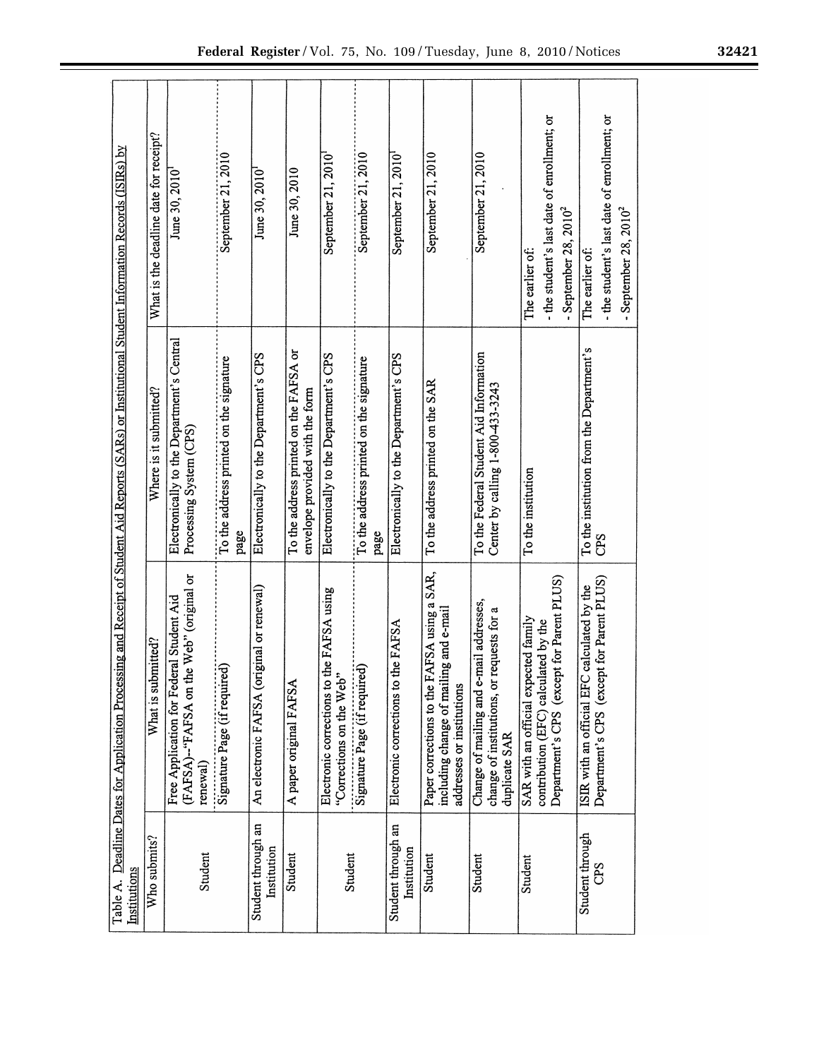| Institutions                      | Table A. Deadline Dates for Application Processing and Receipt of Student Aid Reports (SARs) or Institutional Student Information Records (ISIRs) by |                                                                            |                                                                                            |
|-----------------------------------|------------------------------------------------------------------------------------------------------------------------------------------------------|----------------------------------------------------------------------------|--------------------------------------------------------------------------------------------|
| Who submits?                      | What is submitted?                                                                                                                                   | Where is it submitted?                                                     | What is the deadline date for receipt?                                                     |
| Student                           | the Web" (original or<br>Free Application for Federal Student Aid<br>(FAFSA)-"FAFSA on<br>renewal)                                                   | Electronically to the Department's Central<br>Processing System (CPS)      | June 30, 2010                                                                              |
|                                   | Signature Page (if required)                                                                                                                         | To the address printed on the signature<br>page                            | September 21, 2010                                                                         |
| Student through an<br>Institution | (original or renewal)<br>An electronic FAFSA                                                                                                         | Electronically to the Department's CPS                                     | June 30, 2010                                                                              |
| Student                           | A paper original FAFSA                                                                                                                               | To the address printed on the FAFSA or<br>envelope provided with the form  | June 30, 2010                                                                              |
| Student                           | Electronic corrections to the FAFSA using<br>"Corrections on the Web"                                                                                | Electronically to the Department's CPS                                     | September 21, 2010                                                                         |
|                                   | Signature Page (if required)                                                                                                                         | To the address printed on the signature<br>page                            | September 21, 2010                                                                         |
| Student through an<br>Institution | Electronic corrections to the FAFSA                                                                                                                  | Electronically to the Department's CPS                                     | September 21, 2010                                                                         |
| Student                           | FAFSA using a SAR,<br>including change of mailing and e-mail<br>Paper corrections to the<br>addresses or institutions                                | To the address printed on the SAR                                          | September 21, 2010                                                                         |
| Student                           | e-mail addresses,<br>change of institutions, or requests for a<br>Change of mailing and<br>duplicate SAR                                             | To the Federal Student Aid Information<br>Center by calling 1-800-433-3243 | September 21, 2010                                                                         |
| Student                           | Department's CPS (except for Parent PLUS)<br>SAR with an official expected family<br>contribution (EFC) calculated by the                            | To the institution                                                         | - the student's last date of enrollment; or<br>- September $28, 2010^2$<br>The earlier of: |
| Student through<br>CPS            | Department's CPS (except for Parent PLUS)<br>ISIR with an official EFC calculated by the                                                             | To the institution from the Department's<br>CPS                            | - the student's last date of enrollment; or<br>- September $28.2010^2$<br>The earlier of:  |

 $\mathbf{f}$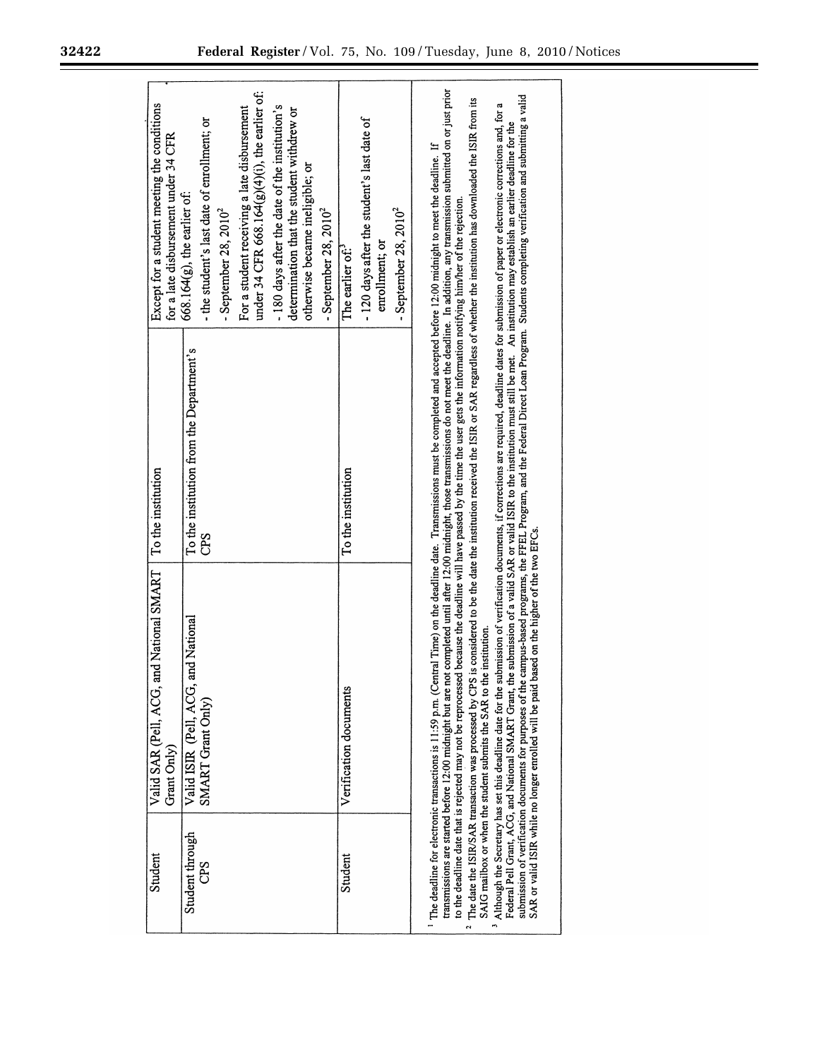| Except for a student meeting the conditions<br>for a late disbursement under 34 CFR | under 34 CFR 668.164 $(g)(4)(i)$ , the earlier of:<br>-180 days after the date of the institution's<br>For a student receiving a late disbursement<br>determination that the student withdrew or<br>- the student's last date of enrollment; or<br>otherwise became ineligible; or<br>$668.164(g)$ , the earlier of:<br>- September 28, $2010^2$<br>- September 28, $2010^2$ | -120 days after the student's last date of<br>- September 28, $2010^2$<br>enrollment; or<br>The earlier of: <sup>3</sup> | is considered to be the date the institution received the ISIR or SAR regardless of whether the institution has downloaded the ISIR from its                                                                                                                                                                                                                                                                                                                                                                                                                                                                                                                                                                                                                                                                                                                                                                                                                                                                                                                                                                                                                                                                                                                                                                                                                                                                                                  |
|-------------------------------------------------------------------------------------|------------------------------------------------------------------------------------------------------------------------------------------------------------------------------------------------------------------------------------------------------------------------------------------------------------------------------------------------------------------------------|--------------------------------------------------------------------------------------------------------------------------|-----------------------------------------------------------------------------------------------------------------------------------------------------------------------------------------------------------------------------------------------------------------------------------------------------------------------------------------------------------------------------------------------------------------------------------------------------------------------------------------------------------------------------------------------------------------------------------------------------------------------------------------------------------------------------------------------------------------------------------------------------------------------------------------------------------------------------------------------------------------------------------------------------------------------------------------------------------------------------------------------------------------------------------------------------------------------------------------------------------------------------------------------------------------------------------------------------------------------------------------------------------------------------------------------------------------------------------------------------------------------------------------------------------------------------------------------|
| To the institution                                                                  | To the institution from the Department's<br>CPS                                                                                                                                                                                                                                                                                                                              | To the institution                                                                                                       |                                                                                                                                                                                                                                                                                                                                                                                                                                                                                                                                                                                                                                                                                                                                                                                                                                                                                                                                                                                                                                                                                                                                                                                                                                                                                                                                                                                                                                               |
| Valid SAR (Pell, ACG, and National SMART<br>Grant Only)                             | and National<br>Valid ISIR (Pell, ACG,<br>SMART Grant Only)                                                                                                                                                                                                                                                                                                                  | Verification documents                                                                                                   | transmissions are started before 12:00 midnight but are not completed until after 12:00 midnight, those transmissions do not meet the deadline. In addition, any transmission submitted on or just prior<br>submission of verification documents for purposes of the campus-based programs, the FFEL Program, and the Federal Direct Loan Program. Students completing verification and submitting a valid<br>Although the Secretary has set this deadline date for the submission of verification documents, if corrections are required, deadline dates for submission of paper or electronic corrections and, for a<br>Federal Pell Grant, ACG, and National SMART Grant, the submission of a valid SAR or valid ISIR to the institution must still be met. An institution may establish an earlier deadline for the<br>The deadline for electronic transactions is 11:59 p.m. (Central Time) on the deadline date. Transmissions must be completed and accepted before 12:00 midnight to meet the deadline. If<br>to the deadline date that is rejected may not be reprocessed because the deadline will have passed by the time the user gets the information notifying him/her of the rejection.<br>based on the higher of the two EFCs.<br>SAIG mailbox or when the student submits the SAR to the institution.<br>The date the ISIR/SAR transaction was processed by CPS<br>SAR or valid ISIR while no longer enrolled will be paid I |
| Student                                                                             | Student through<br>CPS                                                                                                                                                                                                                                                                                                                                                       | Student                                                                                                                  |                                                                                                                                                                                                                                                                                                                                                                                                                                                                                                                                                                                                                                                                                                                                                                                                                                                                                                                                                                                                                                                                                                                                                                                                                                                                                                                                                                                                                                               |

Ξ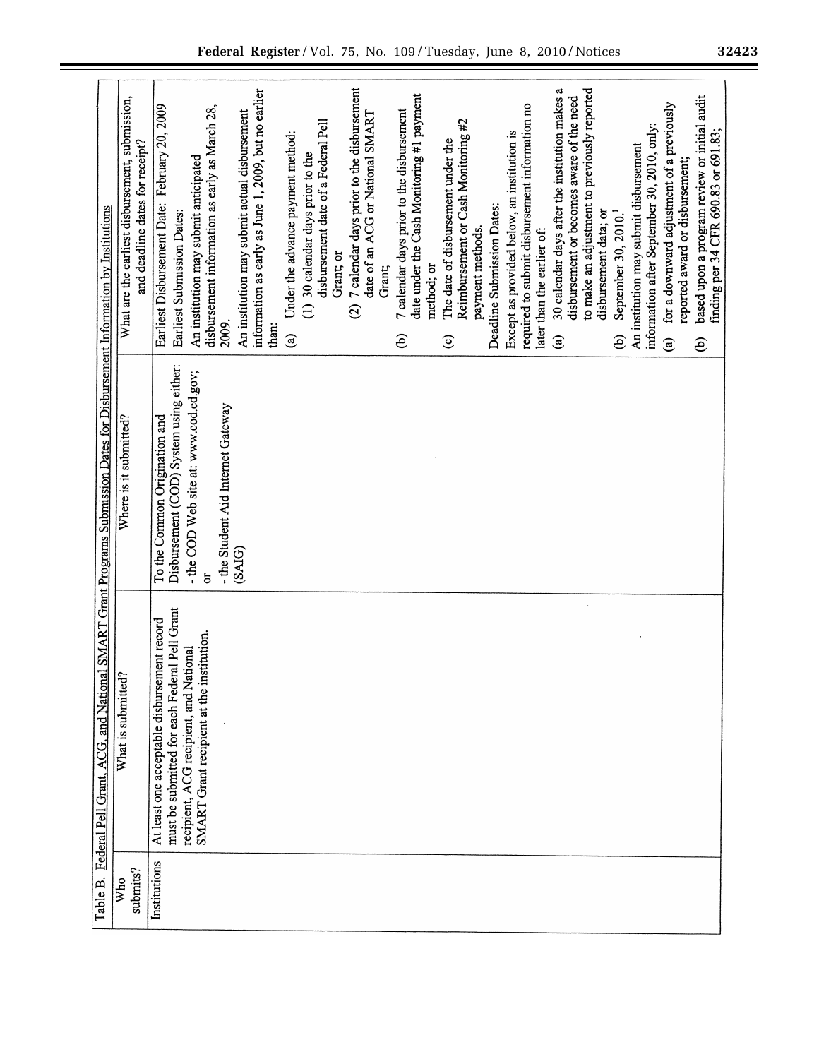| Federal Pell Grant, ACG, and National SMART Grant Programs Submission Dates for Disbursement Information by Institutions | What are the earliest disbursement, submission,<br>and deadline dates for receipt?<br>Where is it submitted? | 7 calendar days prior to the disbursement<br>a<br>to make an adjustment to previously reported<br>information as early as June 1, 2009, but no earlier<br>date under the Cash Monitoring #1 payment<br>30 calendar days after the institution makes<br>based upon a program review or initial audit<br>disbursement or becomes aware of the need<br>for a downward adjustment of a previously<br>Earliest Disbursement Date: February 20, 2009<br>required to submit disbursement information no<br>disbursement information as early as March 28,<br>7 calendar days prior to the disbursement<br>An institution may submit actual disbursement<br>date of an ACG or National SMART<br>Reimbursement or Cash Monitoring #2<br>disbursement date of a Federal Pell<br>information after September 30, 2010, only:<br>Except as provided below, an institution is<br>Under the advance payment method:<br>The date of disbursement under the<br>An institution may submit disbursement<br>(1) 30 calendar days prior to the<br>An institution may submit anticipated<br>reported award or disbursement;<br>Deadline Submission Dates:<br>September 30, 2010. <sup>1</sup><br>disbursement data; or<br>Earliest Submission Dates:<br>payment methods.<br>later than the earlier of:<br>Grant; or<br>method; or<br>Grant;<br>$\widehat{\infty}$<br>2009.<br>than:<br>$\widehat{e}$<br>$\mathbf{G}$<br>$\widehat{e}$<br>$\odot$<br>$\mathbf{\widehat{e}}$<br>ව<br>$\mathbf{\widehat{e}}$<br>Disbursement (COD) System using either:<br>- the COD Web site at: www.cod.ed.gov;<br>- the Student Aid Internet Gateway<br>To the Common Origination and<br>(SAIG) |
|--------------------------------------------------------------------------------------------------------------------------|--------------------------------------------------------------------------------------------------------------|------------------------------------------------------------------------------------------------------------------------------------------------------------------------------------------------------------------------------------------------------------------------------------------------------------------------------------------------------------------------------------------------------------------------------------------------------------------------------------------------------------------------------------------------------------------------------------------------------------------------------------------------------------------------------------------------------------------------------------------------------------------------------------------------------------------------------------------------------------------------------------------------------------------------------------------------------------------------------------------------------------------------------------------------------------------------------------------------------------------------------------------------------------------------------------------------------------------------------------------------------------------------------------------------------------------------------------------------------------------------------------------------------------------------------------------------------------------------------------------------------------------------------------------------------------------------------------------------------------------------------------------------------------|
|                                                                                                                          | What is submitted?                                                                                           | must be submitted for each Federal Pell Grant<br>At least one acceptable disbursement record<br>SMART Grant recipient at the institution.<br>recipient, ACG recipient, and National                                                                                                                                                                                                                                                                                                                                                                                                                                                                                                                                                                                                                                                                                                                                                                                                                                                                                                                                                                                                                                                                                                                                                                                                                                                                                                                                                                                                                                                                        |
| Table B.                                                                                                                 | submits?<br>Who                                                                                              | Institutions                                                                                                                                                                                                                                                                                                                                                                                                                                                                                                                                                                                                                                                                                                                                                                                                                                                                                                                                                                                                                                                                                                                                                                                                                                                                                                                                                                                                                                                                                                                                                                                                                                               |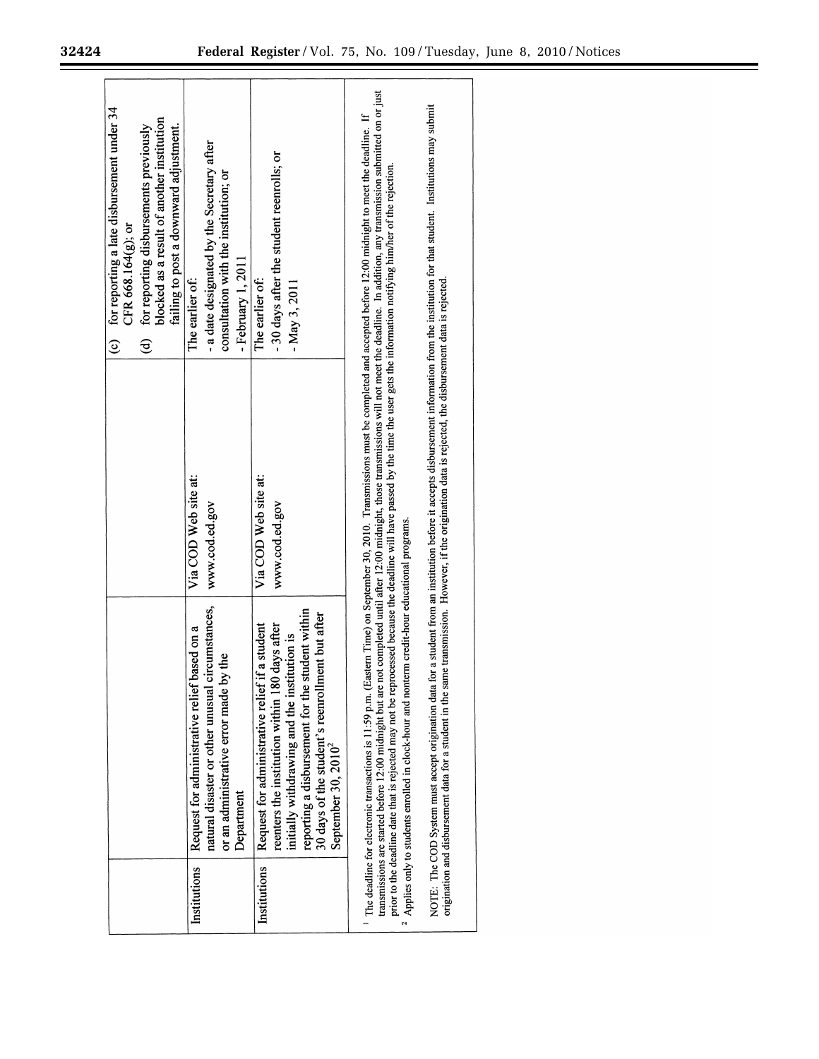|              |                                                                                                                                                                                                                                                                                                                                                                                                                                                                                                                                                                                                                                                                                                                                                                                                                                                                                                                 |                                        | (c) for reporting a late disbursement under $34$<br>blocked as a result of another institution<br>failing to post a downward adjustment.<br>for reporting disbursements previously<br>CFR 668.164 $(g)$ ; or<br>$\widehat{\mathbf{e}}$ |
|--------------|-----------------------------------------------------------------------------------------------------------------------------------------------------------------------------------------------------------------------------------------------------------------------------------------------------------------------------------------------------------------------------------------------------------------------------------------------------------------------------------------------------------------------------------------------------------------------------------------------------------------------------------------------------------------------------------------------------------------------------------------------------------------------------------------------------------------------------------------------------------------------------------------------------------------|----------------------------------------|----------------------------------------------------------------------------------------------------------------------------------------------------------------------------------------------------------------------------------------|
| Institutions | natural disaster or other unusual circumstances,<br>based on a<br>or an administrative error made by the<br>Request for administrative relief<br>Department                                                                                                                                                                                                                                                                                                                                                                                                                                                                                                                                                                                                                                                                                                                                                     | Via COD Web site at:<br>www.cod.ed.gov | - a date designated by the Secretary after<br>consultation with the institution; or<br>- February 1, 2011<br>The earlier of:                                                                                                           |
| Institutions | reporting a disbursement for the student within<br>30 days of the student's reenrollment but after<br>reenters the institution within 180 days after<br>if a student<br>initially withdrawing and the institution is<br>Request for administrative relief<br>September 30, 2010 <sup>2</sup>                                                                                                                                                                                                                                                                                                                                                                                                                                                                                                                                                                                                                    | Via COD Web site at:<br>www.cod.ed.gov | -30 days after the student reenrolls; or<br>The earlier of:<br>$-May 3, 2011$                                                                                                                                                          |
|              | NOTE: The COD System must accept origination data for a student from an institution before it accepts disbursement information from the institution for that student. Institutions may submit<br>The deadline for electronic transactions is 11:59 p.m. (Eastern Time) on September 30, 2010. Transmissions must be completed and accepted before 12:00 midnight to meet the deadline. If<br>prior to the deadline date that is rejected may not be reprocessed because the deadline will have passed by the time the user gets the information notifying him/her of the rejection.<br>origination and disbursement data for a student in the same transmission. However, if the origination data is rejected, the disbursement data is rejected.<br>Applies only to students enrolled in clock-hour and nonterm credit-hour educational programs.<br>transmissions are started before 12:00 midnight but are n |                                        | not completed until after 12:00 midnight, those transmissions will not meet the deadline. In addition, any transmission submitted on or just                                                                                           |

eri

Ξ